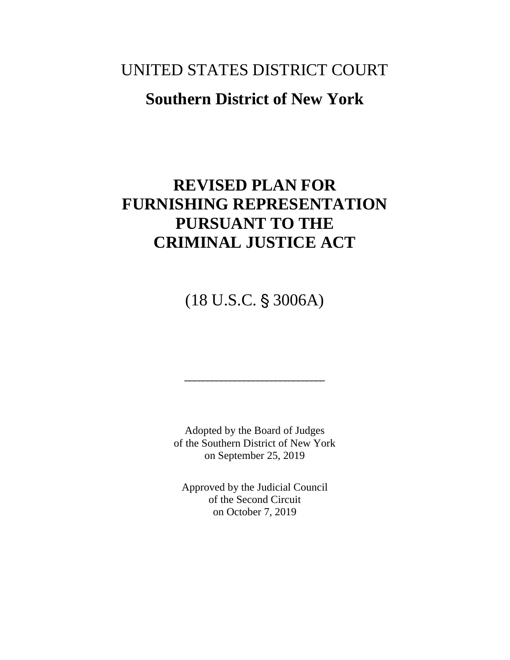## UNITED STATES DISTRICT COURT

# **Southern District of New York**

# **REVISED PLAN FOR FURNISHING REPRESENTATION PURSUANT TO THE CRIMINAL JUSTICE ACT**

 $(18$  U.S.C.  $\S 3006A)$ 

Adopted by the Board of Judges of the Southern District of New York on September 25, 2019

\_\_\_\_\_\_\_\_\_\_\_\_\_\_\_\_\_\_\_\_\_\_\_\_\_\_\_\_\_\_\_

Approved by the Judicial Council of the Second Circuit on October 7, 2019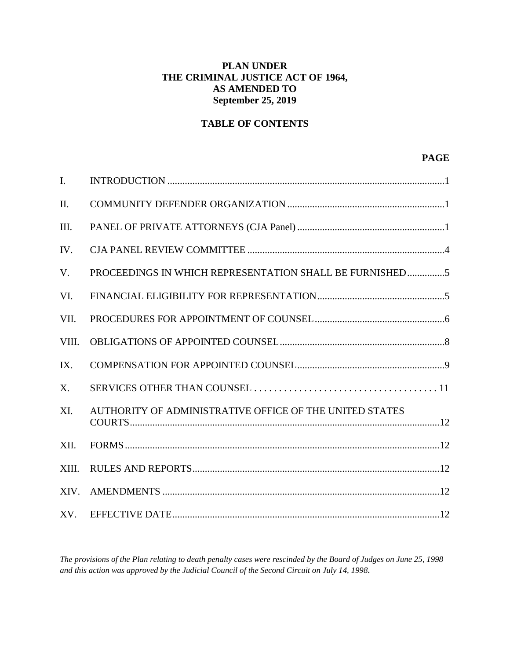## **PLAN UNDER THE CRIMINAL JUSTICE ACT OF 1964, AS AMENDED TO September 25, 2019**

## **TABLE OF CONTENTS**

| $\mathbf{I}$ . |                                                         |
|----------------|---------------------------------------------------------|
| $\prod$ .      |                                                         |
| III.           |                                                         |
| IV.            |                                                         |
| V.             | PROCEEDINGS IN WHICH REPRESENTATION SHALL BE FURNISHED5 |
| VI.            |                                                         |
| VII.           |                                                         |
| VIII.          |                                                         |
| IX.            |                                                         |
| X.             |                                                         |
| XI.            | AUTHORITY OF ADMINISTRATIVE OFFICE OF THE UNITED STATES |
| XII.           |                                                         |
| XIII.          |                                                         |
| XIV.           |                                                         |
|                |                                                         |

*The provisions of the Plan relating to death penalty cases were rescinded by the Board of Judges on June 25, 1998 and this action was approved by the Judicial Council of the Second Circuit on July 14, 1998.*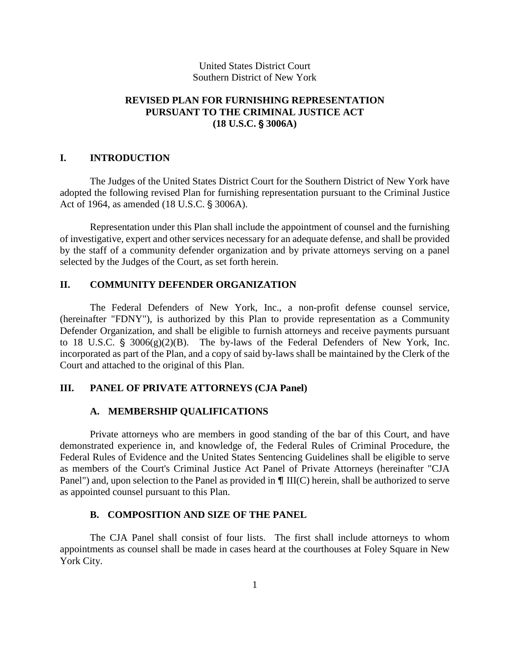## United States District Court Southern District of New York

## **REVISED PLAN FOR FURNISHING REPRESENTATION PURSUANT TO THE CRIMINAL JUSTICE ACT (18 U.S.C. § 3006A)**

## **I. INTRODUCTION**

The Judges of the United States District Court for the Southern District of New York have adopted the following revised Plan for furnishing representation pursuant to the Criminal Justice Act of 1964, as amended (18 U.S.C. § 3006A).

Representation under this Plan shall include the appointment of counsel and the furnishing of investigative, expert and other services necessary for an adequate defense, and shall be provided by the staff of a community defender organization and by private attorneys serving on a panel selected by the Judges of the Court, as set forth herein.

## **II. COMMUNITY DEFENDER ORGANIZATION**

The Federal Defenders of New York, Inc., a non-profit defense counsel service, (hereinafter "FDNY"), is authorized by this Plan to provide representation as a Community Defender Organization, and shall be eligible to furnish attorneys and receive payments pursuant to 18 U.S.C.  $\frac{1}{5}$  3006(g)(2)(B). The by-laws of the Federal Defenders of New York, Inc. incorporated as part of the Plan, and a copy of said by-laws shall be maintained by the Clerk of the Court and attached to the original of this Plan.

#### **III. PANEL OF PRIVATE ATTORNEYS (CJA Panel)**

#### **A. MEMBERSHIP QUALIFICATIONS**

Private attorneys who are members in good standing of the bar of this Court, and have demonstrated experience in, and knowledge of, the Federal Rules of Criminal Procedure, the Federal Rules of Evidence and the United States Sentencing Guidelines shall be eligible to serve as members of the Court's Criminal Justice Act Panel of Private Attorneys (hereinafter "CJA Panel") and, upon selection to the Panel as provided in  $\P$  III(C) herein, shall be authorized to serve as appointed counsel pursuant to this Plan.

#### **B. COMPOSITION AND SIZE OF THE PANEL**

The CJA Panel shall consist of four lists. The first shall include attorneys to whom appointments as counsel shall be made in cases heard at the courthouses at Foley Square in New York City.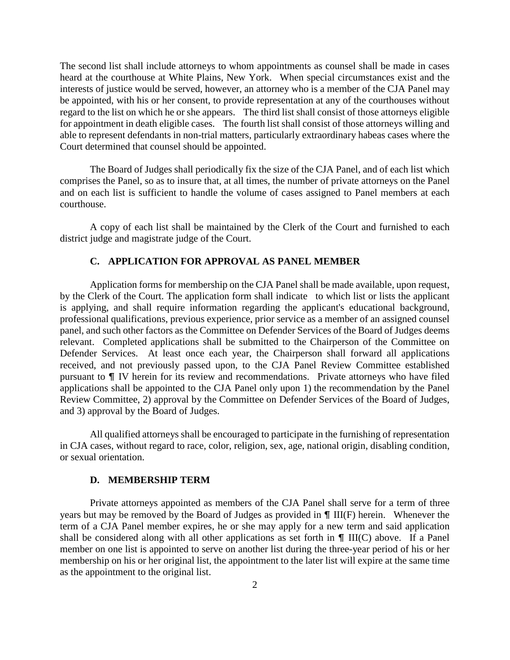The second list shall include attorneys to whom appointments as counsel shall be made in cases heard at the courthouse at White Plains, New York. When special circumstances exist and the interests of justice would be served, however, an attorney who is a member of the CJA Panel may be appointed, with his or her consent, to provide representation at any of the courthouses without regard to the list on which he or she appears. The third list shall consist of those attorneys eligible for appointment in death eligible cases. The fourth list shall consist of those attorneys willing and able to represent defendants in non-trial matters, particularly extraordinary habeas cases where the Court determined that counsel should be appointed.

The Board of Judges shall periodically fix the size of the CJA Panel, and of each list which comprises the Panel, so as to insure that, at all times, the number of private attorneys on the Panel and on each list is sufficient to handle the volume of cases assigned to Panel members at each courthouse.

A copy of each list shall be maintained by the Clerk of the Court and furnished to each district judge and magistrate judge of the Court.

## **C. APPLICATION FOR APPROVAL AS PANEL MEMBER**

Application forms for membership on the CJA Panel shall be made available, upon request, by the Clerk of the Court. The application form shall indicate to which list or lists the applicant is applying, and shall require information regarding the applicant's educational background, professional qualifications, previous experience, prior service as a member of an assigned counsel panel, and such other factors as the Committee on Defender Services of the Board of Judges deems relevant. Completed applications shall be submitted to the Chairperson of the Committee on Defender Services. At least once each year, the Chairperson shall forward all applications received, and not previously passed upon*,* to the CJA Panel Review Committee established pursuant to  $\P$  IV herein for its review and recommendations. Private attorneys who have filed applications shall be appointed to the CJA Panel only upon 1) the recommendation by the Panel Review Committee, 2) approval by the Committee on Defender Services of the Board of Judges, and 3) approval by the Board of Judges.

All qualified attorneys shall be encouraged to participate in the furnishing of representation in CJA cases, without regard to race, color, religion, sex, age, national origin, disabling condition, or sexual orientation.

#### **D. MEMBERSHIP TERM**

Private attorneys appointed as members of the CJA Panel shall serve for a term of three years but may be removed by the Board of Judges as provided in  $\P$  III(F) herein. Whenever the term of a CJA Panel member expires, he or she may apply for a new term and said application shall be considered along with all other applications as set forth in  $\P$  III(C) above. If a Panel member on one list is appointed to serve on another list during the three-year period of his or her membership on his or her original list, the appointment to the later list will expire at the same time as the appointment to the original list.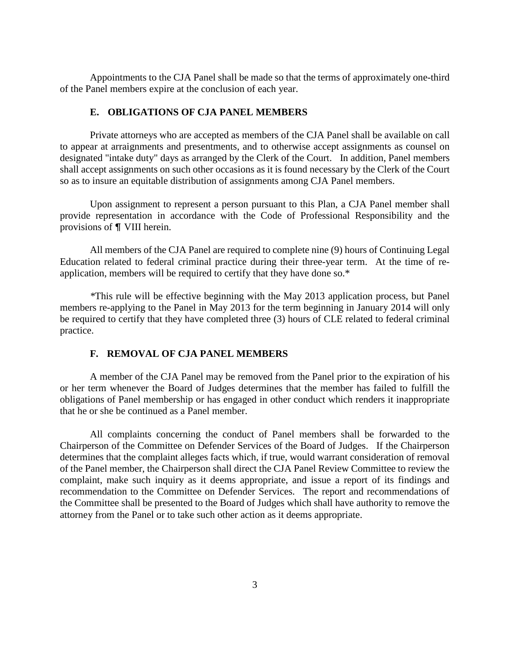Appointments to the CJA Panel shall be made so that the terms of approximately one-third of the Panel members expire at the conclusion of each year.

## **E. OBLIGATIONS OF CJA PANEL MEMBERS**

Private attorneys who are accepted as members of the CJA Panel shall be available on call to appear at arraignments and presentments, and to otherwise accept assignments as counsel on designated "intake duty" days as arranged by the Clerk of the Court. In addition, Panel members shall accept assignments on such other occasions as it is found necessary by the Clerk of the Court so as to insure an equitable distribution of assignments among CJA Panel members.

Upon assignment to represent a person pursuant to this Plan, a CJA Panel member shall provide representation in accordance with the Code of Professional Responsibility and the provisions of  $\P$  VIII herein.

All members of the CJA Panel are required to complete nine (9) hours of Continuing Legal Education related to federal criminal practice during their three-year term. At the time of reapplication, members will be required to certify that they have done so.\*

*\**This rule will be effective beginning with the May 2013 application process, but Panel members re-applying to the Panel in May 2013 for the term beginning in January 2014 will only be required to certify that they have completed three (3) hours of CLE related to federal criminal practice.

## **F. REMOVAL OF CJA PANEL MEMBERS**

A member of the CJA Panel may be removed from the Panel prior to the expiration of his or her term whenever the Board of Judges determines that the member has failed to fulfill the obligations of Panel membership or has engaged in other conduct which renders it inappropriate that he or she be continued as a Panel member.

All complaints concerning the conduct of Panel members shall be forwarded to the Chairperson of the Committee on Defender Services of the Board of Judges. If the Chairperson determines that the complaint alleges facts which, if true, would warrant consideration of removal of the Panel member, the Chairperson shall direct the CJA Panel Review Committee to review the complaint, make such inquiry as it deems appropriate, and issue a report of its findings and recommendation to the Committee on Defender Services. The report and recommendations of the Committee shall be presented to the Board of Judges which shall have authority to remove the attorney from the Panel or to take such other action as it deems appropriate.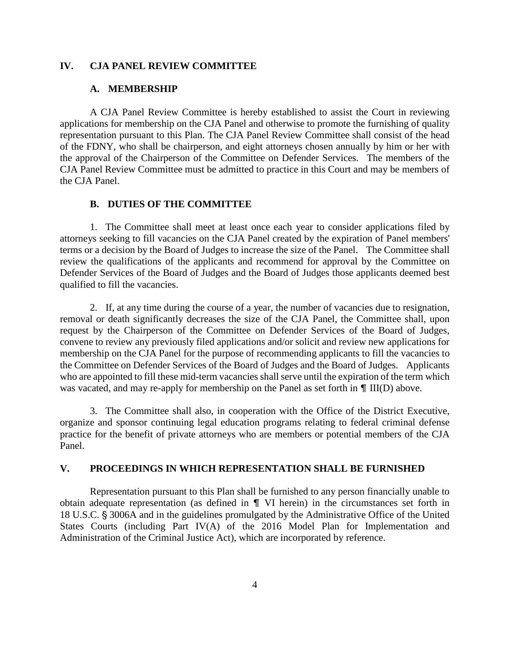## **IV. CJA PANEL REVIEW COMMITTEE**

#### **A. MEMBERSHIP**

A CJA Panel Review Committee is hereby established to assist the Court in reviewing applications for membership on the CJA Panel and otherwise to promote the furnishing of quality representation pursuant to this Plan. The CJA Panel Review Committee shall consist of the head of the FDNY, who shall be chairperson, and eight attorneys chosen annually by him or her with the approval of the Chairperson of the Committee on Defender Services. The members of the CJA Panel Review Committee must be admitted to practice in this Court and may be members of the CJA Panel.

#### **B. DUTIES OF THE COMMITTEE**

1. The Committee shall meet at least once each year to consider applications filed by attorneys seeking to fill vacancies on the CJA Panel created by the expiration of Panel members' terms or a decision by the Board of Judges to increase the size of the Panel. The Committee shall review the qualifications of the applicants and recommend for approval by the Committee on Defender Services of the Board of Judges and the Board of Judges those applicants deemed best qualified to fill the vacancies.

2. If, at any time during the course of a year, the number of vacancies due to resignation, removal or death significantly decreases the size of the CJA Panel, the Committee shall*,* upon request by the Chairperson of the Committee on Defender Services of the Board of Judges, convene to review any previously filed applications and/or solicit and review new applications for membership on the CJA Panel for the purpose of recommending applicants to fill the vacancies to the Committee on Defender Services of the Board of Judges and the Board of Judges. Applicants who are appointed to fill these mid-term vacancies shall serve until the expiration of the term which was vacated, and may re-apply for membership on the Panel as set forth in  $\P$  III(D) above.

3. The Committee shall also, in cooperation with the Office of the District Executive, organize and sponsor continuing legal education programs relating to federal criminal defense practice for the benefit of private attorneys who are members or potential members of the CJA Panel.

## **V. PROCEEDINGS IN WHICH REPRESENTATION SHALL BE FURNISHED**

Representation pursuant to this Plan shall be furnished to any person financially unable to obtain adequate representation (as defined in  $\P$  VI herein) in the circumstances set forth in 18 U.S.C. § 3006A and in the guidelines promulgated by the Administrative Office of the United States Courts (including Part IV(A) of the 2016 Model Plan for Implementation and Administration of the Criminal Justice Act), which are incorporated by reference.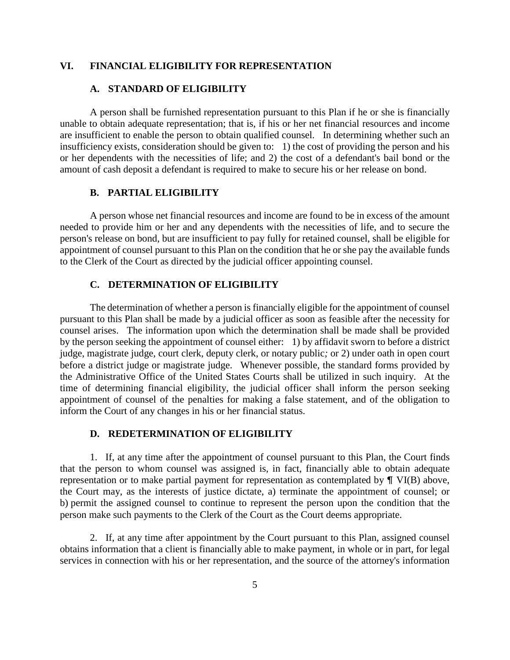#### **VI. FINANCIAL ELIGIBILITY FOR REPRESENTATION**

#### **A. STANDARD OF ELIGIBILITY**

A person shall be furnished representation pursuant to this Plan if he or she is financially unable to obtain adequate representation; that is, if his or her net financial resources and income are insufficient to enable the person to obtain qualified counsel. In determining whether such an insufficiency exists, consideration should be given to: 1) the cost of providing the person and his or her dependents with the necessities of life; and 2) the cost of a defendant's bail bond or the amount of cash deposit a defendant is required to make to secure his or her release on bond.

## **B. PARTIAL ELIGIBILITY**

A person whose net financial resources and income are found to be in excess of the amount needed to provide him or her and any dependents with the necessities of life, and to secure the person's release on bond, but are insufficient to pay fully for retained counsel, shall be eligible for appointment of counsel pursuant to this Plan on the condition that he or she pay the available funds to the Clerk of the Court as directed by the judicial officer appointing counsel.

## **C. DETERMINATION OF ELIGIBILITY**

The determination of whether a person is financially eligible for the appointment of counsel pursuant to this Plan shall be made by a judicial officer as soon as feasible after the necessity for counsel arises. The information upon which the determination shall be made shall be provided by the person seeking the appointment of counsel either: 1) by affidavit sworn to before a district judge, magistrate judge, court clerk, deputy clerk, or notary public*;* or 2) under oath in open court before a district judge or magistrate judge. Whenever possible, the standard forms provided by the Administrative Office of the United States Courts shall be utilized in such inquiry. At the time of determining financial eligibility, the judicial officer shall inform the person seeking appointment of counsel of the penalties for making a false statement, and of the obligation to inform the Court of any changes in his or her financial status.

#### **D. REDETERMINATION OF ELIGIBILITY**

1. If, at any time after the appointment of counsel pursuant to this Plan, the Court finds that the person to whom counsel was assigned is, in fact, financially able to obtain adequate representation or to make partial payment for representation as contemplated by  $\P$  VI(B) above, the Court may, as the interests of justice dictate, a) terminate the appointment of counsel; or b) permit the assigned counsel to continue to represent the person upon the condition that the person make such payments to the Clerk of the Court as the Court deems appropriate.

2. If, at any time after appointment by the Court pursuant to this Plan, assigned counsel obtains information that a client is financially able to make payment, in whole or in part, for legal services in connection with his or her representation, and the source of the attorney's information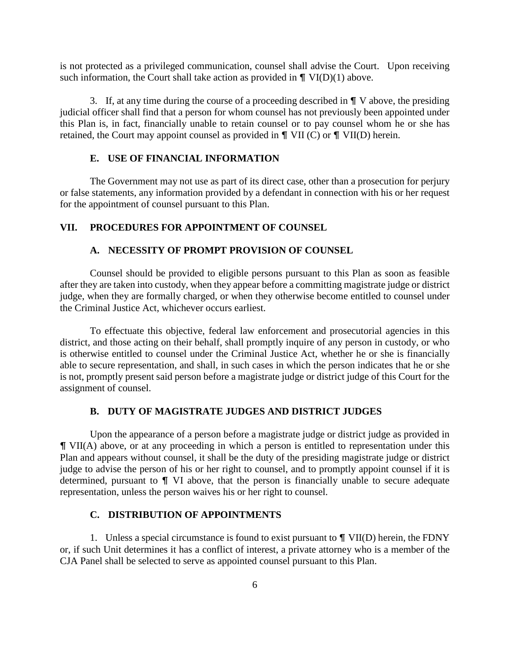is not protected as a privileged communication, counsel shall advise the Court. Upon receiving such information, the Court shall take action as provided in  $\P$  VI(D)(1) above.

3. If, at any time during the course of a proceeding described in  $\P$  V above, the presiding judicial officer shall find that a person for whom counsel has not previously been appointed under this Plan is, in fact, financially unable to retain counsel or to pay counsel whom he or she has retained, the Court may appoint counsel as provided in  $\P$  VII (C) or  $\P$  VII(D) herein.

#### **E. USE OF FINANCIAL INFORMATION**

The Government may not use as part of its direct case, other than a prosecution for perjury or false statements, any information provided by a defendant in connection with his or her request for the appointment of counsel pursuant to this Plan.

#### **VII. PROCEDURES FOR APPOINTMENT OF COUNSEL**

#### **A. NECESSITY OF PROMPT PROVISION OF COUNSEL**

Counsel should be provided to eligible persons pursuant to this Plan as soon as feasible after they are taken into custody, when they appear before a committing magistrate judge or district judge, when they are formally charged, or when they otherwise become entitled to counsel under the Criminal Justice Act, whichever occurs earliest.

To effectuate this objective, federal law enforcement and prosecutorial agencies in this district, and those acting on their behalf, shall promptly inquire of any person in custody, or who is otherwise entitled to counsel under the Criminal Justice Act, whether he or she is financially able to secure representation, and shall, in such cases in which the person indicates that he or she is not, promptly present said person before a magistrate judge or district judge of this Court for the assignment of counsel.

#### **B. DUTY OF MAGISTRATE JUDGES AND DISTRICT JUDGES**

Upon the appearance of a person before a magistrate judge or district judge as provided in  $\P$  VII(A) above, or at any proceeding in which a person is entitled to representation under this Plan and appears without counsel, it shall be the duty of the presiding magistrate judge or district judge to advise the person of his or her right to counsel, and to promptly appoint counsel if it is determined, pursuant to  $\P$  VI above, that the person is financially unable to secure adequate representation, unless the person waives his or her right to counsel.

## **C. DISTRIBUTION OF APPOINTMENTS**

1. Unless a special circumstance is found to exist pursuant to  $\P$  VII(D) herein, the FDNY or, if such Unit determines it has a conflict of interest, a private attorney who is a member of the CJA Panel shall be selected to serve as appointed counsel pursuant to this Plan.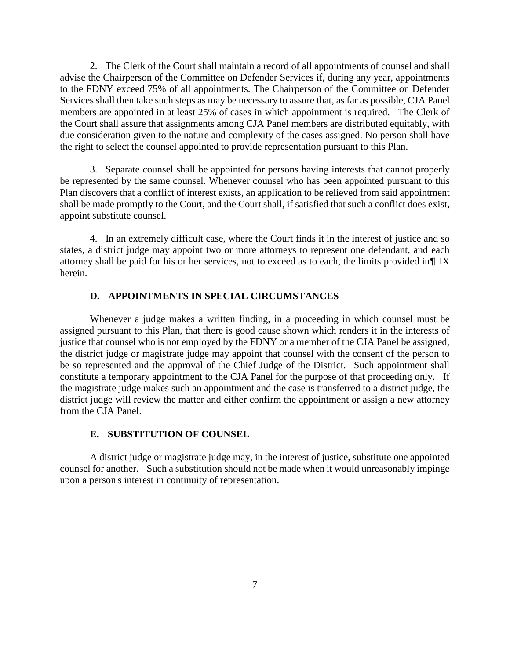2. The Clerk of the Court shall maintain a record of all appointments of counsel and shall advise the Chairperson of the Committee on Defender Services if, during any year, appointments to the FDNY exceed 75% of all appointments. The Chairperson of the Committee on Defender Services shall then take such steps as may be necessary to assure that, as far as possible, CJA Panel members are appointed in at least 25% of cases in which appointment is required. The Clerk of the Court shall assure that assignments among CJA Panel members are distributed equitably, with due consideration given to the nature and complexity of the cases assigned. No person shall have the right to select the counsel appointed to provide representation pursuant to this Plan.

3. Separate counsel shall be appointed for persons having interests that cannot properly be represented by the same counsel. Whenever counsel who has been appointed pursuant to this Plan discovers that a conflict of interest exists, an application to be relieved from said appointment shall be made promptly to the Court, and the Court shall, if satisfied that such a conflict does exist, appoint substitute counsel.

4. In an extremely difficult case, where the Court finds it in the interest of justice and so states, a district judge may appoint two or more attorneys to represent one defendant, and each attorney shall be paid for his or her services, not to exceed as to each, the limits provided in $\P$  IX herein.

## **D. APPOINTMENTS IN SPECIAL CIRCUMSTANCES**

Whenever a judge makes a written finding, in a proceeding in which counsel must be assigned pursuant to this Plan, that there is good cause shown which renders it in the interests of justice that counsel who is not employed by the FDNY or a member of the CJA Panel be assigned, the district judge or magistrate judge may appoint that counsel with the consent of the person to be so represented and the approval of the Chief Judge of the District. Such appointment shall constitute a temporary appointment to the CJA Panel for the purpose of that proceeding only. If the magistrate judge makes such an appointment and the case is transferred to a district judge, the district judge will review the matter and either confirm the appointment or assign a new attorney from the CJA Panel.

#### **E. SUBSTITUTION OF COUNSEL**

A district judge or magistrate judge may, in the interest of justice, substitute one appointed counsel for another. Such a substitution should not be made when it would unreasonably impinge upon a person's interest in continuity of representation.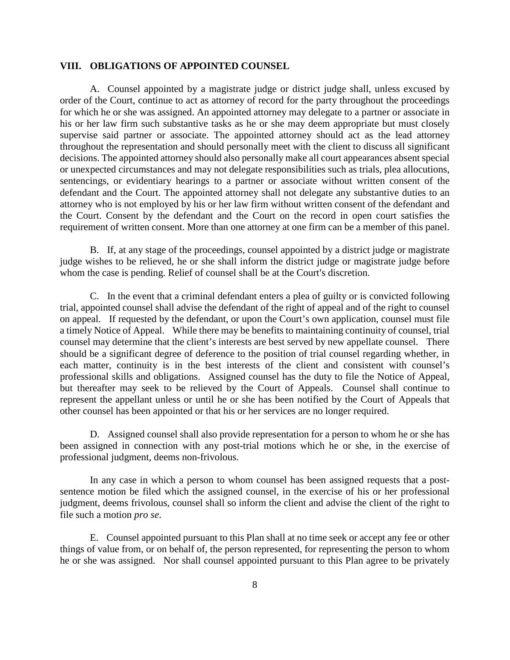#### **VIII. OBLIGATIONS OF APPOINTED COUNSEL**

A. Counsel appointed by a magistrate judge or district judge shall, unless excused by order of the Court, continue to act as attorney of record for the party throughout the proceedings for which he or she was assigned. An appointed attorney may delegate to a partner or associate in his or her law firm such substantive tasks as he or she may deem appropriate but must closely supervise said partner or associate. The appointed attorney should act as the lead attorney throughout the representation and should personally meet with the client to discuss all significant decisions. The appointed attorney should also personally make all court appearances absent special or unexpected circumstances and may not delegate responsibilities such as trials, plea allocutions, sentencings, or evidentiary hearings to a partner or associate without written consent of the defendant and the Court. The appointed attorney shall not delegate any substantive duties to an attorney who is not employed by his or her law firm without written consent of the defendant and the Court. Consent by the defendant and the Court on the record in open court satisfies the requirement of written consent. More than one attorney at one firm can be a member of this panel.

B. If, at any stage of the proceedings, counsel appointed by a district judge or magistrate judge wishes to be relieved, he or she shall inform the district judge or magistrate judge before whom the case is pending. Relief of counsel shall be at the Court's discretion.

C. In the event that a criminal defendant enters a plea of guilty or is convicted following trial, appointed counsel shall advise the defendant of the right of appeal and of the right to counsel on appeal. If requested by the defendant, or upon the Court's own application, counsel must file a timely Notice of Appeal. While there may be benefits to maintaining continuity of counsel, trial counsel may determine that the client's interests are best served by new appellate counsel. There should be a significant degree of deference to the position of trial counsel regarding whether, in each matter, continuity is in the best interests of the client and consistent with counsel's professional skills and obligations. Assigned counsel has the duty to file the Notice of Appeal, but thereafter may seek to be relieved by the Court of Appeals. Counsel shall continue to represent the appellant unless or until he or she has been notified by the Court of Appeals that other counsel has been appointed or that his or her services are no longer required.

D. Assigned counsel shall also provide representation for a person to whom he or she has been assigned in connection with any post-trial motions which he or she, in the exercise of professional judgment, deems non-frivolous.

In any case in which a person to whom counsel has been assigned requests that a postsentence motion be filed which the assigned counsel, in the exercise of his or her professional judgment, deems frivolous, counsel shall so inform the client and advise the client of the right to file such a motion *pro se*.

E. Counsel appointed pursuant to this Plan shall at no time seek or accept any fee or other things of value from, or on behalf of, the person represented, for representing the person to whom he or she was assigned. Nor shall counsel appointed pursuant to this Plan agree to be privately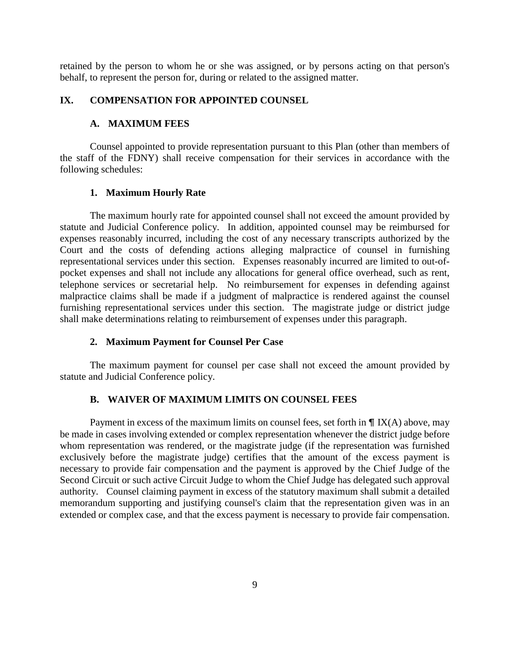retained by the person to whom he or she was assigned, or by persons acting on that person's behalf, to represent the person for, during or related to the assigned matter.

#### **IX. COMPENSATION FOR APPOINTED COUNSEL**

#### **A. MAXIMUM FEES**

Counsel appointed to provide representation pursuant to this Plan (other than members of the staff of the FDNY) shall receive compensation for their services in accordance with the following schedules:

## **1. Maximum Hourly Rate**

The maximum hourly rate for appointed counsel shall not exceed the amount provided by statute and Judicial Conference policy. In addition, appointed counsel may be reimbursed for expenses reasonably incurred, including the cost of any necessary transcripts authorized by the Court and the costs of defending actions alleging malpractice of counsel in furnishing representational services under this section. Expenses reasonably incurred are limited to out-ofpocket expenses and shall not include any allocations for general office overhead, such as rent, telephone services or secretarial help. No reimbursement for expenses in defending against malpractice claims shall be made if a judgment of malpractice is rendered against the counsel furnishing representational services under this section. The magistrate judge or district judge shall make determinations relating to reimbursement of expenses under this paragraph.

#### **2. Maximum Payment for Counsel Per Case**

The maximum payment for counsel per case shall not exceed the amount provided by statute and Judicial Conference policy.

#### **B. WAIVER OF MAXIMUM LIMITS ON COUNSEL FEES**

Payment in excess of the maximum limits on counsel fees, set forth in  $\P$  IX(A) above, may be made in cases involving extended or complex representation whenever the district judge before whom representation was rendered, or the magistrate judge (if the representation was furnished exclusively before the magistrate judge) certifies that the amount of the excess payment is necessary to provide fair compensation and the payment is approved by the Chief Judge of the Second Circuit or such active Circuit Judge to whom the Chief Judge has delegated such approval authority. Counsel claiming payment in excess of the statutory maximum shall submit a detailed memorandum supporting and justifying counsel's claim that the representation given was in an extended or complex case, and that the excess payment is necessary to provide fair compensation.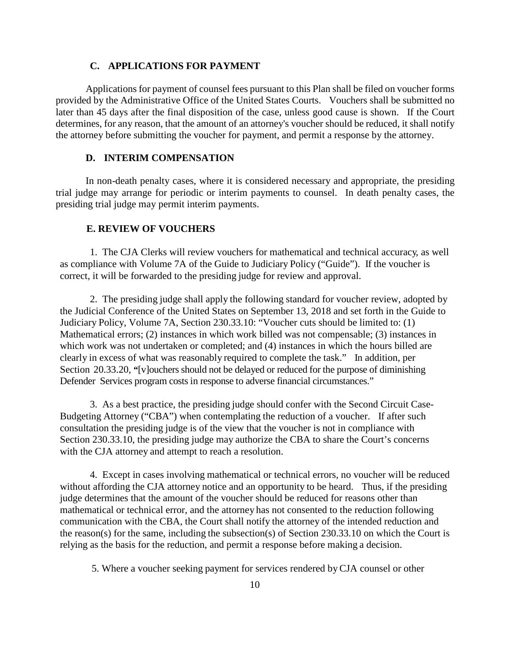#### **C. APPLICATIONS FOR PAYMENT**

Applications for payment of counsel fees pursuant to this Plan shall be filed on voucher forms provided by the Administrative Office of the United States Courts. Vouchers shall be submitted no later than 45 days after the final disposition of the case, unless good cause is shown. If the Court determines, for any reason, that the amount of an attorney's voucher should be reduced, it shall notify the attorney before submitting the voucher for payment, and permit a response by the attorney.

## **D. INTERIM COMPENSATION**

In non-death penalty cases, where it is considered necessary and appropriate, the presiding trial judge may arrange for periodic or interim payments to counsel. In death penalty cases, the presiding trial judge may permit interim payments.

## **E. REVIEW OF VOUCHERS**

1. The CJA Clerks will review vouchers for mathematical and technical accuracy, as well as compliance with Volume 7A of the Guide to Judiciary Policy ("Guide"). If the voucher is correct, it will be forwarded to the presiding judge for review and approval.

2. The presiding judge shall apply the following standard for voucher review, adopted by the Judicial Conference of the United States on September 13, 2018 and set forth in the Guide to Judiciary Policy, Volume 7A, Section 230.33.10: "Voucher cuts should be limited to: (1) Mathematical errors; (2) instances in which work billed was not compensable; (3) instances in which work was not undertaken or completed; and  $(4)$  instances in which the hours billed are clearly in excess of what was reasonably required to complete the task." In addition, per Section 20.33.20, "<sup>[v]</sup>ouchers should not be delayed or reduced for the purpose of diminishing Defender Services program costs in response to adverse financial circumstances."

3. As a best practice, the presiding judge should confer with the Second Circuit Case-Budgeting Attorney ("CBA") when contemplating the reduction of a voucher. If after such consultation the presiding judge is of the view that the voucher is not in compliance with Section 230.33.10, the presiding judge may authorize the CBA to share the Court's concerns with the CJA attorney and attempt to reach a resolution.

4. Except in cases involving mathematical or technical errors, no voucher will be reduced without affording the CJA attorney notice and an opportunity to be heard. Thus, if the presiding judge determines that the amount of the voucher should be reduced for reasons other than mathematical or technical error, and the attorney has not consented to the reduction following communication with the CBA, the Court shall notify the attorney of the intended reduction and the reason(s) for the same, including the subsection(s) of Section 230.33.10 on which the Court is relying as the basis for the reduction, and permit a response before making a decision.

5. Where a voucher seeking payment for services rendered byCJA counsel or other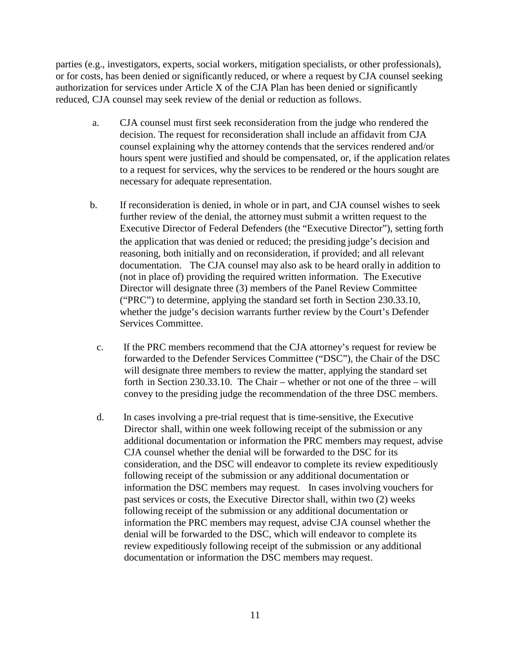parties (e.g., investigators, experts, social workers, mitigation specialists, or other professionals), or for costs, has been denied or significantly reduced, or where a request by CJA counsel seeking authorization for services under Article X of the CJA Plan has been denied or significantly reduced, CJA counsel may seek review of the denial or reduction as follows.

- a. CJA counsel must first seek reconsideration from the judge who rendered the decision. The request for reconsideration shall include an affidavit from CJA counsel explaining why the attorney contends that the services rendered and/or hours spent were justified and should be compensated, or, if the application relates to a request for services, why the services to be rendered or the hours sought are necessary for adequate representation.
- b. If reconsideration is denied, in whole or in part, and CJA counsel wishes to seek further review of the denial, the attorney must submit a written request to the Executive Director of Federal Defenders (the "Executive Director"), setting forth the application that was denied or reduced; the presiding judge's decision and reasoning, both initially and on reconsideration, if provided; and all relevant documentation. The CJA counsel may also ask to be heard orally in addition to (not in place of) providing the required written information. The Executive Director will designate three (3) members of the Panel Review Committee ("PRC") to determine, applying the standard set forth in Section 230.33.10, whether the judge's decision warrants further review by the Court's Defender Services Committee.
	- c. If the PRC members recommend that the CJA attorney's request for review be forwarded to the Defender Services Committee ("DSC"), the Chair of the DSC will designate three members to review the matter, applying the standard set forth in Section 230.33.10. The Chair – whether or not one of the three – will convey to the presiding judge the recommendation of the three DSC members.
	- d. In cases involving a pre-trial request that is time-sensitive, the Executive Director shall, within one week following receipt of the submission or any additional documentation or information the PRC members may request, advise CJA counsel whether the denial will be forwarded to the DSC for its consideration, and the DSC will endeavor to complete its review expeditiously following receipt of the submission or any additional documentation or information the DSC members may request. In cases involving vouchers for past services or costs, the Executive Director shall, within two (2) weeks following receipt of the submission or any additional documentation or information the PRC members may request, advise CJA counsel whether the denial will be forwarded to the DSC, which will endeavor to complete its review expeditiously following receipt of the submission or any additional documentation or information the DSC members may request.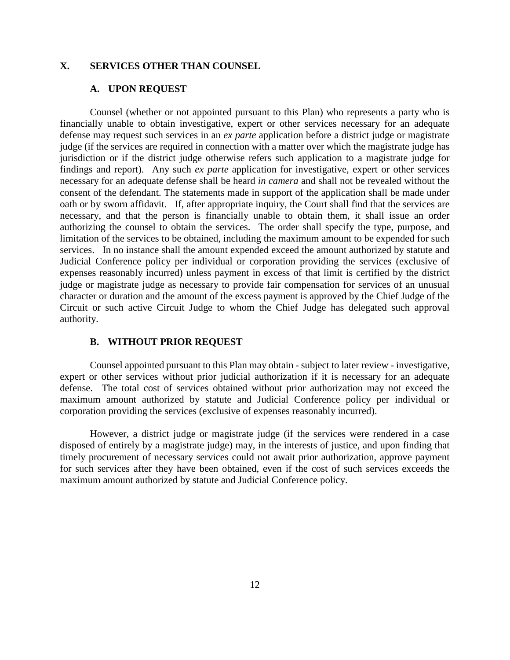## **X. SERVICES OTHER THAN COUNSEL**

#### **A. UPON REQUEST**

Counsel (whether or not appointed pursuant to this Plan) who represents a party who is financially unable to obtain investigative, expert or other services necessary for an adequate defense may request such services in an *ex parte* application before a district judge or magistrate judge (if the services are required in connection with a matter over which the magistrate judge has jurisdiction or if the district judge otherwise refers such application to a magistrate judge for findings and report). Any such *ex parte* application for investigative, expert or other services necessary for an adequate defense shall be heard *in camera* and shall not be revealed without the consent of the defendant. The statements made in support of the application shall be made under oath or by sworn affidavit. If, after appropriate inquiry, the Court shall find that the services are necessary, and that the person is financially unable to obtain them, it shall issue an order authorizing the counsel to obtain the services. The order shall specify the type, purpose, and limitation of the services to be obtained, including the maximum amount to be expended for such services. In no instance shall the amount expended exceed the amount authorized by statute and Judicial Conference policy per individual or corporation providing the services (exclusive of expenses reasonably incurred) unless payment in excess of that limit is certified by the district judge or magistrate judge as necessary to provide fair compensation for services of an unusual character or duration and the amount of the excess payment is approved by the Chief Judge of the Circuit or such active Circuit Judge to whom the Chief Judge has delegated such approval authority.

#### **B. WITHOUT PRIOR REQUEST**

Counsel appointed pursuant to this Plan may obtain - subject to later review - investigative, expert or other services without prior judicial authorization if it is necessary for an adequate defense. The total cost of services obtained without prior authorization may not exceed the maximum amount authorized by statute and Judicial Conference policy per individual or corporation providing the services (exclusive of expenses reasonably incurred).

However, a district judge or magistrate judge (if the services were rendered in a case disposed of entirely by a magistrate judge) may, in the interests of justice, and upon finding that timely procurement of necessary services could not await prior authorization, approve payment for such services after they have been obtained, even if the cost of such services exceeds the maximum amount authorized by statute and Judicial Conference policy.